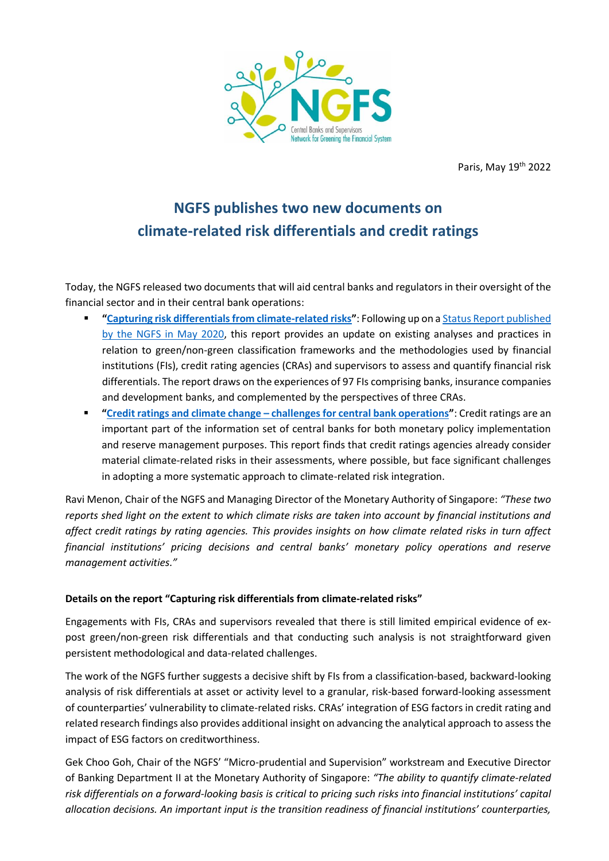

Paris, May 19<sup>th</sup> 2022

## **NGFS publishes two new documents on climate-related risk differentials and credit ratings**

Today, the NGFS released two documents that will aid central banks and regulators in their oversight of the financial sector and in their central bank operations:

- **"[Capturing risk differentials from climate-related risks](http://www.ngfs.net/en/capturing-risk-differentials-climate-related-risks-progress-report)"**: Following up on [a Status Report](https://www.ngfs.net/sites/default/files/medias/documents/ngfs_status_report.pdf) published [by the NGFS in May 2020,](https://www.ngfs.net/sites/default/files/medias/documents/ngfs_status_report.pdf) this report provides an update on existing analyses and practices in relation to green/non-green classification frameworks and the methodologies used by financial institutions (FIs), credit rating agencies (CRAs) and supervisors to assess and quantify financial risk differentials. The report draws on the experiences of 97 FIs comprising banks, insurance companies and development banks, and complemented by the perspectives of three CRAs.
- **"Credit ratings and climate change – [challenges for central bank operations](http://www.ngfs.net/en/credit-ratings-and-climate-change-challenges-central-bank-operations)"**: Credit ratings are an important part of the information set of central banks for both monetary policy implementation and reserve management purposes. This report finds that credit ratings agencies already consider material climate-related risks in their assessments, where possible, but face significant challenges in adopting a more systematic approach to climate-related risk integration.

Ravi Menon, Chair of the NGFS and Managing Director of the Monetary Authority of Singapore: *"These two reports shed light on the extent to which climate risks are taken into account by financial institutions and affect credit ratings by rating agencies. This provides insights on how climate related risks in turn affect financial institutions' pricing decisions and central banks' monetary policy operations and reserve management activities."*

## **Details on the report "Capturing risk differentials from climate-related risks"**

Engagements with FIs, CRAs and supervisors revealed that there is still limited empirical evidence of expost green/non-green risk differentials and that conducting such analysis is not straightforward given persistent methodological and data-related challenges.

The work of the NGFS further suggests a decisive shift by FIs from a classification-based, backward-looking analysis of risk differentials at asset or activity level to a granular, risk-based forward-looking assessment of counterparties' vulnerability to climate-related risks. CRAs' integration of ESG factors in credit rating and related research findings also provides additional insight on advancing the analytical approach to assess the impact of ESG factors on creditworthiness.

Gek Choo Goh, Chair of the NGFS' "Micro-prudential and Supervision" workstream and Executive Director of Banking Department II at the Monetary Authority of Singapore: *"The ability to quantify climate-related risk differentials on a forward-looking basis is critical to pricing such risks into financial institutions' capital allocation decisions. An important input is the transition readiness of financial institutions' counterparties,*